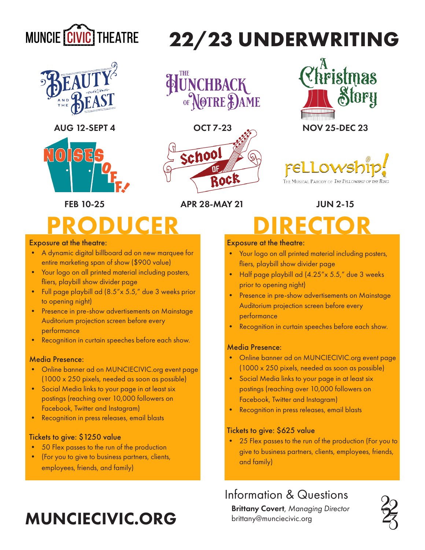



AUG 12-SEPT 4



HUNCHBACK







FEB 10-25 APR 28-MAY 21 JUN 2-15

# ODUCER DIRECTOR

#### Exposure at the theatre:

- A dynamic digital billboard ad on new marquee for entire marketing span of show (\$900 value)
- Your logo on all printed material including posters, fliers, playbill show divider page
- Full page playbill ad (8.5"x 5.5," due 3 weeks prior to opening night)
- Presence in pre-show advertisements on Mainstage Auditorium projection screen before every performance
- Recognition in curtain speeches before each show.

#### Media Presence:

- Online banner ad on MUNCIECIVIC.org event page (1000 x 250 pixels, needed as soon as possible)
- Social Media links to your page in at least six postings (reaching over 10,000 followers on Facebook, Twitter and Instagram)
- Recognition in press releases, email blasts

#### Tickets to give: \$1250 value

- 50 Flex passes to the run of the production
- (For you to give to business partners, clients, employees, friends, and family)

### MUNCIECIVIC.ORG

#### Exposure at the theatre:

**22/23 UNDERWRITING**

- Your logo on all printed material including posters, fliers, playbill show divider page
- Half page playbill ad (4.25"x 5.5," due 3 weeks prior to opening night)
- Presence in pre-show advertisements on Mainstage Auditorium projection screen before every performance
- Recognition in curtain speeches before each show.

#### Media Presence:

- Online banner ad on MUNCIECIVIC.org event page (1000 x 250 pixels, needed as soon as possible)
- Social Media links to your page in at least six postings (reaching over 10,000 followers on Facebook, Twitter and Instagram)
- Recognition in press releases, email blasts

#### Tickets to give: \$625 value

• 25 Flex passes to the run of the production (For you to give to business partners, clients, employees, friends, and family)

### Information & Questions

Brittany Covert, *Managing Director* brittany@munciecivic.org